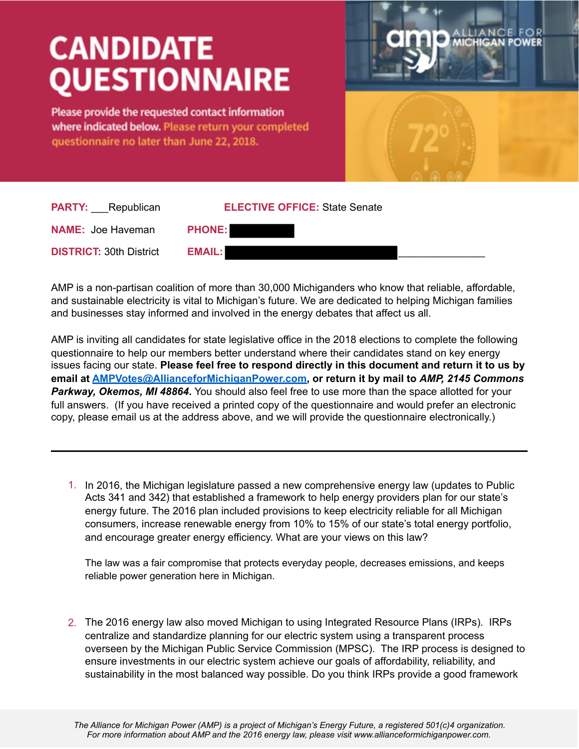## **CANDIDATE QUESTIONNAIRE**

Please provide the requested contact information where indicated below. Please return your completed questionnaire no later than June 22, 2018.



| <b>PARTY:</b> Republican       | <b>ELECTIVE OFFICE: State Senate</b> |
|--------------------------------|--------------------------------------|
| <b>NAME: Joe Haveman</b>       | <b>PHONE:</b>                        |
| <b>DISTRICT: 30th District</b> | <b>EMAIL:</b>                        |

AMP is a non-partisan coalition of more than 30,000 Michiganders who know that reliable, affordable, and sustainable electricity is vital to Michigan's future. We are dedicated to helping Michigan families and businesses stay informed and involved in the energy debates that affect us all.

AMP is inviting all candidates for state legislative office in the 2018 elections to complete the following questionnaire to help our members better understand where their candidates stand on key energy issues facing our state. **Please feel free to respond directly in this document and return it to us by email at [AMPVotes@AllianceforMichiganPower.com](mailto:AMPVotes@AllianceforMichiganPower.com), or return it by mail to** *AMP, 2145 Commons Parkway, Okemos, MI 48864***.** You should also feel free to use more than the space allotted for your full answers. (If you have received a printed copy of the questionnaire and would prefer an electronic copy, please email us at the address above, and we will provide the questionnaire electronically.)

1. In 2016, the Michigan legislature passed a new comprehensive energy law (updates to Public Acts 341 and 342) that established a framework to help energy providers plan for our state's energy future. The 2016 plan included provisions to keep electricity reliable for all Michigan consumers, increase renewable energy from 10% to 15% of our state's total energy portfolio, and encourage greater energy efficiency. What are your views on this law?

The law was a fair compromise that protects everyday people, decreases emissions, and keeps reliable power generation here in Michigan.

2. The 2016 energy law also moved Michigan to using Integrated Resource Plans (IRPs). IRPs centralize and standardize planning for our electric system using a transparent process overseen by the Michigan Public Service Commission (MPSC). The IRP process is designed to ensure investments in our electric system achieve our goals of affordability, reliability, and sustainability in the most balanced way possible. Do you think IRPs provide a good framework

*The Alliance for Michigan Power (AMP) is a project of Michigan's Energy Future, a registered 501(c)4 organization. For more information about AMP and the 2016 energy law, please visit www.allianceformichiganpower.com.*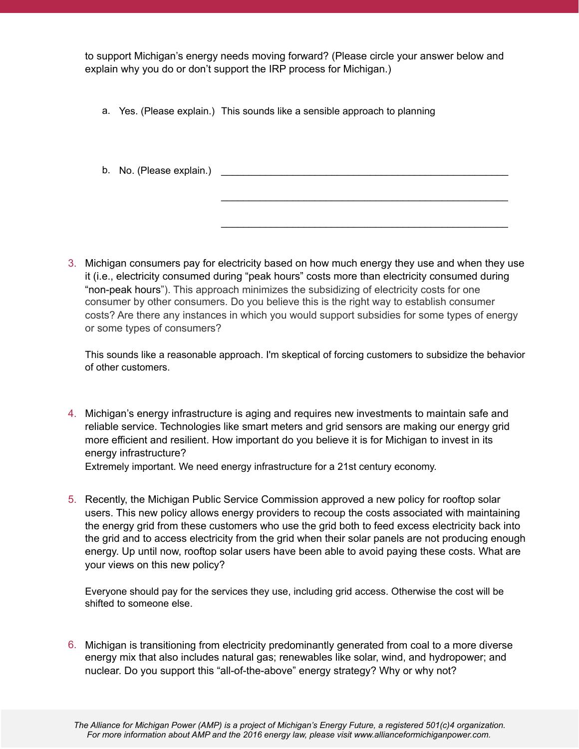to support Michigan's energy needs moving forward? (Please circle your answer below and explain why you do or don't support the IRP process for Michigan.)

- a. Yes. (Please explain.) This sounds like a sensible approach to planning
- b. No. (Please explain.)

3. Michigan consumers pay for electricity based on how much energy they use and when they use it (i.e., electricity consumed during "peak hours" costs more than electricity consumed during "non-peak hours"). This approach minimizes the subsidizing of electricity costs for one consumer by other consumers. Do you believe this is the right way to establish consumer costs? Are there any instances in which you would support subsidies for some types of energy or some types of consumers?

 $\mathcal{L}_\text{max}$  , and the contract of the contract of the contract of the contract of the contract of the contract of the contract of the contract of the contract of the contract of the contract of the contract of the contr

 $\frac{1}{2}$  ,  $\frac{1}{2}$  ,  $\frac{1}{2}$  ,  $\frac{1}{2}$  ,  $\frac{1}{2}$  ,  $\frac{1}{2}$  ,  $\frac{1}{2}$  ,  $\frac{1}{2}$  ,  $\frac{1}{2}$  ,  $\frac{1}{2}$  ,  $\frac{1}{2}$  ,  $\frac{1}{2}$  ,  $\frac{1}{2}$  ,  $\frac{1}{2}$  ,  $\frac{1}{2}$  ,  $\frac{1}{2}$  ,  $\frac{1}{2}$  ,  $\frac{1}{2}$  ,  $\frac{1$ 

This sounds like a reasonable approach. I'm skeptical of forcing customers to subsidize the behavior of other customers.

4. Michigan's energy infrastructure is aging and requires new investments to maintain safe and reliable service. Technologies like smart meters and grid sensors are making our energy grid more efficient and resilient. How important do you believe it is for Michigan to invest in its energy infrastructure? Extremely important. We need energy infrastructure for a 21st century economy.

5. Recently, the Michigan Public Service Commission approved a new policy for rooftop solar users. This new policy allows energy providers to recoup the costs associated with maintaining the energy grid from these customers who use the grid both to feed excess electricity back into the grid and to access electricity from the grid when their solar panels are not producing enough energy. Up until now, rooftop solar users have been able to avoid paying these costs. What are your views on this new policy?

Everyone should pay for the services they use, including grid access. Otherwise the cost will be shifted to someone else.

6. Michigan is transitioning from electricity predominantly generated from coal to a more diverse energy mix that also includes natural gas; renewables like solar, wind, and hydropower; and nuclear. Do you support this "all-of-the-above" energy strategy? Why or why not?

*The Alliance for Michigan Power (AMP) is a project of Michigan's Energy Future, a registered 501(c)4 organization. For more information about AMP and the 2016 energy law, please visit www.allianceformichiganpower.com.*